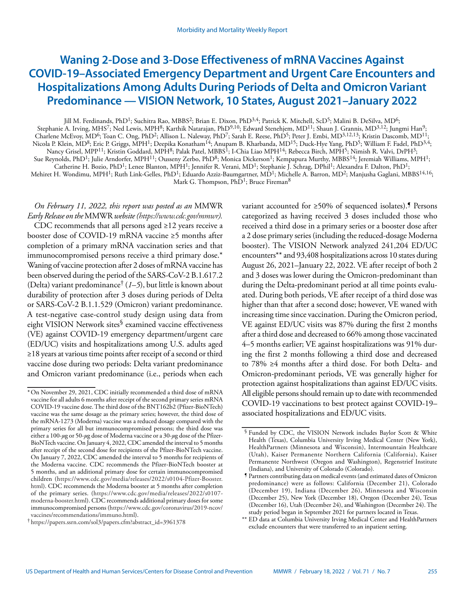# **Waning 2-Dose and 3-Dose Effectiveness of mRNA Vaccines Against COVID-19–Associated Emergency Department and Urgent Care Encounters and Hospitalizations Among Adults During Periods of Delta and Omicron Variant Predominance — VISION Network, 10 States, August 2021–January 2022**

Jill M. Ferdinands, PhD1; Suchitra Rao, MBBS2; Brian E. Dixon, PhD3,4; Patrick K. Mitchell, ScD5; Malini B. DeSilva, MD6; Stephanie A. Irving, MHS<sup>7</sup>; Ned Lewis, MPH<sup>8</sup>; Karthik Natarajan, PhD<sup>9,10</sup>; Edward Stenehjem, MD<sup>11</sup>; Shaun J. Grannis, MD<sup>3,12</sup>; Jungmi Han<sup>9</sup>; Charlene McEvoy, MD<sup>6</sup>; Toan C. Ong, PhD<sup>2</sup>; Allison L. Naleway, PhD<sup>7</sup>; Sarah E. Reese, PhD<sup>5</sup>; Peter J. Embi, MD<sup>3,12,13</sup>; Kristin Dascomb, MD<sup>11</sup>; Nicola P. Klein, MD<sup>8</sup>; Eric P. Griggs, MPH<sup>1</sup>; Deepika Konatham<sup>14</sup>; Anupam B. Kharbanda, MD<sup>15</sup>; Duck-Hye Yang, PhD<sup>5</sup>; William F. Fadel, PhD<sup>3,4</sup>; Nancy Grisel, MPP<sup>11</sup>; Kristin Goddard, MPH<sup>8</sup>; Palak Patel, MBBS<sup>1</sup>; I-Chia Liao MPH<sup>14</sup>; Rebecca Birch, MPH<sup>5</sup>; Nimish R. Valvi, DrPH<sup>3</sup>; Sue Reynolds, PhD<sup>1</sup>; Julie Arndorfer, MPH<sup>11</sup>; Ousseny Zerbo, PhD<sup>8</sup>; Monica Dickerson<sup>1</sup>; Kempapura Murthy, MBBS<sup>14</sup>; Jeremiah Williams, MPH<sup>1</sup>; Catherine H. Bozio, PhD<sup>1</sup>; Lenee Blanton, MPH<sup>1</sup>; Jennifer R. Verani, MD<sup>1</sup>; Stephanie J. Schrag, DPhil<sup>1</sup>; Alexandra F. Dalton, PhD<sup>1</sup>; Mehiret H. Wondimu, MPH<sup>1</sup>; Ruth Link-Gelles, PhD<sup>1</sup>; Eduardo Azziz-Baumgartner, MD<sup>1</sup>; Michelle A. Barron, MD<sup>2</sup>; Manjusha Gaglani, MBBS<sup>14,16</sup>; Mark G. Thompson,  $PhD<sup>1</sup>$ ; Bruce Fireman<sup>8</sup>

## *On February 11, 2022, this report was posted as an* MMWR *Early Release on the* MMWR *website (<https://www.cdc.gov/mmwr>).*

CDC recommends that all persons aged ≥12 years receive a booster dose of COVID-19 mRNA vaccine ≥5 months after completion of a primary mRNA vaccination series and that immunocompromised persons receive a third primary dose.\* Waning of vaccine protection after 2 doses of mRNA vaccine has been observed during the period of the SARS-CoV-2 B.1.617.2 (Delta) variant predominance† (*1*–*5*), but little is known about durability of protection after 3 doses during periods of Delta or SARS-CoV-2 B.1.1.529 (Omicron) variant predominance. A test-negative case-control study design using data from eight VISION Network sites<sup>§</sup> examined vaccine effectiveness (VE) against COVID-19 emergency department/urgent care (ED/UC) visits and hospitalizations among U.S. adults aged ≥18 years at various time points after receipt of a second or third vaccine dose during two periods: Delta variant predominance and Omicron variant predominance (i.e., periods when each

variant accounted for  $\geq$ 50% of sequenced isolates).<sup>5</sup> Persons categorized as having received 3 doses included those who received a third dose in a primary series or a booster dose after a 2 dose primary series (including the reduced-dosage Moderna booster). The VISION Network analyzed 241,204 ED/UC encounters\*\* and 93,408 hospitalizations across 10 states during August 26, 2021–January 22, 2022. VE after receipt of both 2 and 3 doses was lower during the Omicron-predominant than during the Delta-predominant period at all time points evaluated. During both periods, VE after receipt of a third dose was higher than that after a second dose; however, VE waned with increasing time since vaccination. During the Omicron period, VE against ED/UC visits was 87% during the first 2 months after a third dose and decreased to 66% among those vaccinated 4–5 months earlier; VE against hospitalizations was 91% during the first 2 months following a third dose and decreased to 78% ≥4 months after a third dose. For both Delta- and Omicron-predominant periods, VE was generally higher for protection against hospitalizations than against ED/UC visits. All eligible persons should remain up to date with recommended COVID-19 vaccinations to best protect against COVID-19– associated hospitalizations and ED/UC visits.

<sup>\*</sup>On November 29, 2021, CDC initially recommended a third dose of mRNA vaccine for all adults 6 months after receipt of the second primary series mRNA COVID-19 vaccine dose. The third dose of the BNT162b2 (Pfizer-BioNTech) vaccine was the same dosage as the primary series; however, the third dose of the mRNA-1273 (Moderna) vaccine was a reduced dosage compared with the primary series for all but immunocompromised persons; the third dose was either a 100-*µ*g or 50-*µ*g dose of Moderna vaccine or a 30-*µ*g dose of the Pfizer-BioNTech vaccine. On January 4, 2022, CDC amended the interval to 5 months after receipt of the second dose for recipients of the Pfizer-BioNTech vaccine. On January 7, 2022, CDC amended the interval to 5 months for recipients of the Moderna vaccine. CDC recommends the Pfizer-BioNTech booster at 5 months, and an additional primary dose for certain immunocompromised children ([https://www.cdc.gov/media/releases/2022/s0104-Pfizer-Booster.](https://www.cdc.gov/media/releases/2022/s0104-Pfizer-Booster.html) [html](https://www.cdc.gov/media/releases/2022/s0104-Pfizer-Booster.html)). CDC recommends the Moderna booster at 5 months after completion of the primary series. ([https://www.cdc.gov/media/releases/2022/s0107](https://www.cdc.gov/media/releases/2022/s0107-moderna-booster.html) [moderna-booster.html](https://www.cdc.gov/media/releases/2022/s0107-moderna-booster.html)). CDC recommends additional primary doses for some immunocompromised persons [\(https://www.cdc.gov/coronavirus/2019-ncov/](https://www.cdc.gov/coronavirus/2019-ncov/vaccines/recommendations/immuno.html) [vaccines/recommendations/immuno.html\)](https://www.cdc.gov/coronavirus/2019-ncov/vaccines/recommendations/immuno.html).

<sup>†</sup> [https://papers.ssrn.com/sol3/papers.cfm?abstract\\_id=3961378](https://papers.ssrn.com/sol3/papers.cfm?abstract_id=3961378)

<sup>§</sup> Funded by CDC, the VISION Network includes Baylor Scott & White Health (Texas), Columbia University Irving Medical Center (New York), HealthPartners (Minnesota and Wisconsin), Intermountain Healthcare (Utah), Kaiser Permanente Northern California (California), Kaiser Permanente Northwest (Oregon and Washington), Regenstrief Institute (Indiana), and University of Colorado (Colorado).

<sup>¶</sup> Partners contributing data on medical events (and estimated dates of Omicron predominance) were as follows: California (December 21), Colorado (December 19), Indiana (December 26), Minnesota and Wisconsin (December 25), New York (December 18), Oregon (December 24), Texas (December 16), Utah (December 24), and Washington (December 24). The study period began in September 2021 for partners located in Texas.

<sup>\*\*</sup> ED data at Columbia University Irving Medical Center and HealthPartners exclude encounters that were transferred to an inpatient setting.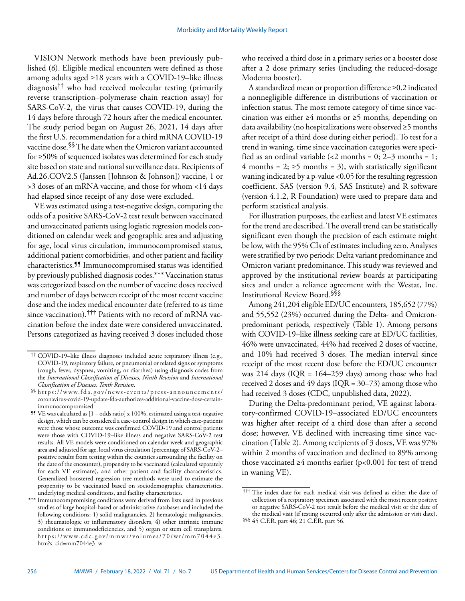VISION Network methods have been previously published (*6*). Eligible medical encounters were defined as those among adults aged ≥18 years with a COVID-19–like illness diagnosis†† who had received molecular testing (primarily reverse transcription–polymerase chain reaction assay) for SARS-CoV-2, the virus that causes COVID-19, during the 14 days before through 72 hours after the medical encounter. The study period began on August 26, 2021, 14 days after the first U.S. recommendation for a third mRNA COVID-19 vaccine dose.§§ The date when the Omicron variant accounted for ≥50% of sequenced isolates was determined for each study site based on state and national surveillance data. Recipients of Ad.26.COV2.S (Janssen [Johnson & Johnson]) vaccine, 1 or >3 doses of an mRNA vaccine, and those for whom <14 days had elapsed since receipt of any dose were excluded.

VE was estimated using a test-negative design, comparing the odds of a positive SARS-CoV-2 test result between vaccinated and unvaccinated patients using logistic regression models conditioned on calendar week and geographic area and adjusting for age, local virus circulation, immunocompromised status, additional patient comorbidities, and other patient and facility characteristics.¶¶ Immunocompromised status was identified by previously published diagnosis codes.\*\*\* Vaccination status was categorized based on the number of vaccine doses received and number of days between receipt of the most recent vaccine dose and the index medical encounter date (referred to as time since vaccination).††† Patients with no record of mRNA vaccination before the index date were considered unvaccinated. Persons categorized as having received 3 doses included those

who received a third dose in a primary series or a booster dose after a 2 dose primary series (including the reduced-dosage Moderna booster).

A standardized mean or proportion difference ≥0.2 indicated a nonnegligible difference in distributions of vaccination or infection status. The most remote category of time since vaccination was either  $\geq 4$  months or  $\geq 5$  months, depending on data availability (no hospitalizations were observed ≥5 months after receipt of a third dose during either period). To test for a trend in waning, time since vaccination categories were specified as an ordinal variable (<2 months = 0; 2–3 months = 1; 4 months = 2;  $\geq$ 5 months = 3), with statistically significant waning indicated by a p-value <0.05 for the resulting regression coefficient. SAS (version 9.4, SAS Institute) and R software (version 4.1.2, R Foundation) were used to prepare data and perform statistical analysis.

For illustration purposes, the earliest and latest VE estimates for the trend are described. The overall trend can be statistically significant even though the precision of each estimate might be low, with the 95% CIs of estimates including zero. Analyses were stratified by two periods: Delta variant predominance and Omicron variant predominance. This study was reviewed and approved by the institutional review boards at participating sites and under a reliance agreement with the Westat, Inc. Institutional Review Board.§§§

Among 241,204 eligible ED/UC encounters, 185,652 (77%) and 55,552 (23%) occurred during the Delta- and Omicronpredominant periods, respectively (Table 1). Among persons with COVID-19–like illness seeking care at ED/UC facilities, 46% were unvaccinated, 44% had received 2 doses of vaccine, and 10% had received 3 doses. The median interval since receipt of the most recent dose before the ED/UC encounter was  $214$  days (IQR =  $164-259$  days) among those who had received 2 doses and 49 days (IQR = 30–73) among those who had received 3 doses (CDC, unpublished data, 2022).

During the Delta-predominant period, VE against laboratory-confirmed COVID-19–associated ED/UC encounters was higher after receipt of a third dose than after a second dose; however, VE declined with increasing time since vaccination (Table 2). Among recipients of 3 doses, VE was 97% within 2 months of vaccination and declined to 89% among those vaccinated ≥4 months earlier ( $p$ <0.001 for test of trend in waning VE).

<sup>††</sup> COVID-19–like illness diagnoses included acute respiratory illness (e.g., COVID-19, respiratory failure, or pneumonia) or related signs or symptoms (cough, fever, dyspnea, vomiting, or diarrhea) using diagnosis codes from the *International Classification of Diseases, Ninth Revision* and *International* 

*Classification of Diseases, Tenth Revision*. §§ [https://www.fda.gov/news-events/press-announcements/](https://www.fda.gov/news-events/press-announcements/coronavirus-covid-19-update-fda-authorizes-additional-vaccine-dose-certain-immunocompromised) [coronavirus-covid-19-update-fda-authorizes-additional-vaccine-dose-certain](https://www.fda.gov/news-events/press-announcements/coronavirus-covid-19-update-fda-authorizes-additional-vaccine-dose-certain-immunocompromised)[immunocompromised](https://www.fda.gov/news-events/press-announcements/coronavirus-covid-19-update-fda-authorizes-additional-vaccine-dose-certain-immunocompromised)

<sup>¶¶</sup> VE was calculated as [1 − odds ratio] x 100%, estimated using a test-negative design, which can be considered a case-control design in which case-patients were those whose outcome was confirmed COVID-19 and control patients were those with COVID-19–like illness and negative SARS-CoV-2 test results. All VE models were conditioned on calendar week and geographic area and adjusted for age, local virus circulation (percentage of SARS-CoV-2– positive results from testing within the counties surrounding the facility on the date of the encounter), propensity to be vaccinated (calculated separately for each VE estimate), and other patient and facility characteristics. Generalized boostered regression tree methods were used to estimate the propensity to be vaccinated based on sociodemographic characteristics, underlying medical conditions, and facility characteristics.

<sup>\*\*\*</sup> Immunocompromising conditions were derived from lists used in previous studies of large hospital-based or administrative databases and included the following conditions: 1) solid malignancies, 2) hematologic malignancies, 3) rheumatologic or inflammatory disorders, 4) other intrinsic immune conditions or immunodeficiencies, and 5) organ or stem cell transplants. [https://www.cdc.gov/mmwr/volumes/70/wr/mm7044e3.](https://www.cdc.gov/mmwr/volumes/70/wr/mm7044e3.htm?s_cid=mm7044e3_w) [htm?s\\_cid=mm7044e3\\_w](https://www.cdc.gov/mmwr/volumes/70/wr/mm7044e3.htm?s_cid=mm7044e3_w)

<sup>†††</sup> The index date for each medical visit was defined as either the date of collection of a respiratory specimen associated with the most recent positive or negative SARS-CoV-2 test result before the medical visit or the date of the medical visit (if testing occurred only after the admission or visit date).

<sup>§§§</sup> 45 C.F.R. part 46; 21 C.F.R. part 56.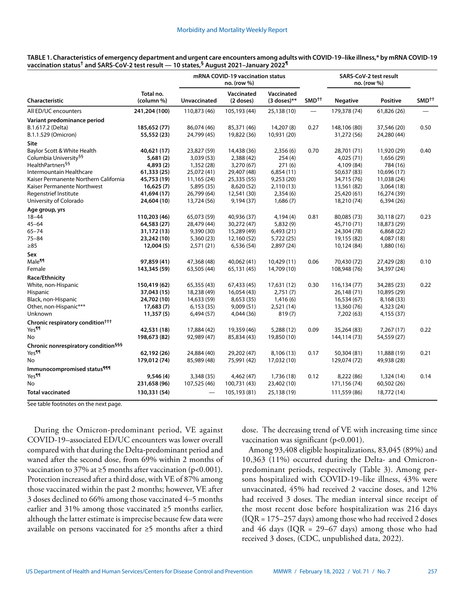|                                                 |                         | mRNA COVID-19 vaccination status<br>no. (row %) |                         |                             | SARS-CoV-2 test result<br>no. (row %) |                 |                 |                   |
|-------------------------------------------------|-------------------------|-------------------------------------------------|-------------------------|-----------------------------|---------------------------------------|-----------------|-----------------|-------------------|
| Characteristic                                  | Total no.<br>(column %) | Unvaccinated                                    | Vaccinated<br>(2 doses) | Vaccinated<br>$(3$ doses)** | SMD <sup>++</sup>                     | <b>Negative</b> | <b>Positive</b> | SMD <sup>++</sup> |
| All ED/UC encounters                            | 241,204 (100)           | 110,873 (46)                                    | 105,193 (44)            | 25,138 (10)                 |                                       | 179,378 (74)    | 61,826 (26)     |                   |
| Variant predominance period                     |                         |                                                 |                         |                             |                                       |                 |                 |                   |
| B.1.617.2 (Delta)                               | 185,652 (77)            | 86,074 (46)                                     | 85,371 (46)             | 14,207 (8)                  | 0.27                                  | 148,106 (80)    | 37,546 (20)     | 0.50              |
| B.1.1.529 (Omicron)                             | 55,552 (23)             | 24,799 (45)                                     | 19,822 (36)             | 10,931 (20)                 |                                       | 31,272 (56)     | 24,280 (44)     |                   |
| Site                                            |                         |                                                 |                         |                             |                                       |                 |                 |                   |
| Baylor Scott & White Health                     | 40,621 (17)             | 23,827 (59)                                     | 14,438 (36)             | 2,356(6)                    | 0.70                                  | 28,701 (71)     | 11,920 (29)     | 0.40              |
| Columbia University <sup>§§</sup>               | 5,681 (2)               | 3,039 (53)                                      | 2,388 (42)              | 254 (4)                     |                                       | 4,025 (71)      | 1,656 (29)      |                   |
| HealthPartners <sup>§§</sup>                    | 4,893(2)                | 1,352 (28)                                      | 3,270 (67)              | 271(6)                      |                                       | 4,109 (84)      | 784 (16)        |                   |
| Intermountain Healthcare                        | 61,333 (25)             | 25,072 (41)                                     | 29,407 (48)             | 6,854(11)                   |                                       | 50,637 (83)     | 10,696 (17)     |                   |
| Kaiser Permanente Northern California           | 45,753 (19)             | 11,165 (24)                                     | 25,335 (55)             | 9,253(20)                   |                                       | 34,715 (76)     | 11,038 (24)     |                   |
| Kaiser Permanente Northwest                     | 16,625(7)               | 5,895 (35)                                      | 8,620 (52)              | 2,110(13)                   |                                       | 13,561 (82)     | 3,064(18)       |                   |
| Regenstrief Institute                           | 41,694 (17)             | 26,799 (64)                                     | 12,541 (30)             | 2,354(6)                    |                                       | 25,420 (61)     | 16,274 (39)     |                   |
| University of Colorado                          | 24,604 (10)             | 13,724 (56)                                     | 9,194 (37)              | 1,686(7)                    |                                       | 18,210 (74)     | 6,394(26)       |                   |
| Age group, yrs                                  |                         |                                                 |                         |                             |                                       |                 |                 |                   |
| $18 - 44$                                       | 110,203 (46)            | 65,073 (59)                                     | 40,936 (37)             | 4,194(4)                    | 0.81                                  | 80,085 (73)     | 30,118 (27)     | 0.23              |
| 45–64                                           | 64,583 (27)             | 28,479 (44)                                     | 30,272 (47)             | 5,832(9)                    |                                       | 45,710 (71)     | 18,873 (29)     |                   |
| 65–74                                           | 31,172 (13)             | 9,390 (30)                                      | 15,289 (49)             | 6,493(21)                   |                                       | 24,304 (78)     | 6,868 (22)      |                   |
| 75–84                                           | 23,242 (10)             | 5,360 (23)                                      | 12,160 (52)             | 5,722(25)                   |                                       | 19,155 (82)     | 4,087 (18)      |                   |
| $\geq 85$                                       | 12,004(5)               | 2,571(21)                                       | 6,536(54)               | 2,897 (24)                  |                                       | 10,124 (84)     | 1,880 (16)      |                   |
| Sex                                             |                         |                                                 |                         |                             |                                       |                 |                 |                   |
| Male¶¶                                          | 97,859 (41)             | 47,368 (48)                                     | 40,062 (41)             | 10,429 (11)                 | 0.06                                  | 70,430 (72)     | 27,429 (28)     | 0.10              |
| Female                                          | 143,345 (59)            | 63,505 (44)                                     | 65,131 (45)             | 14,709 (10)                 |                                       | 108,948 (76)    | 34,397 (24)     |                   |
| Race/Ethnicity                                  |                         |                                                 |                         |                             |                                       |                 |                 |                   |
| White, non-Hispanic                             | 150,419 (62)            | 65,355 (43)                                     | 67,433 (45)             | 17,631 (12)                 | 0.30                                  | 116,134 (77)    | 34,285 (23)     | 0.22              |
| <b>Hispanic</b>                                 | 37,043 (15)             | 18,238 (49)                                     | 16,054 (43)             | 2,751(7)                    |                                       | 26,148 (71)     | 10,895 (29)     |                   |
| Black, non-Hispanic                             | 24,702 (10)             | 14,633 (59)                                     | 8,653 (35)              | 1,416(6)                    |                                       | 16,534 (67)     | 8,168 (33)      |                   |
| Other, non-Hispanic***                          | 17,683(7)               | 6,153(35)                                       | 9,009(51)               | 2,521 (14)                  |                                       | 13,360 (76)     | 4,323 (24)      |                   |
| Unknown                                         | 11,357(5)               | 6,494 (57)                                      | 4,044 (36)              | 819(7)                      |                                       | 7,202 (63)      | 4,155 (37)      |                   |
| Chronic respiratory condition <sup>†††</sup>    |                         |                                                 |                         |                             |                                       |                 |                 |                   |
| Yes¶¶                                           | 42,531 (18)             | 17,884 (42)                                     | 19,359 (46)             | 5,288 (12)                  | 0.09                                  | 35,264 (83)     | 7,267 (17)      | 0.22              |
| No                                              | 198,673 (82)            | 92,989 (47)                                     | 85,834 (43)             | 19,850 (10)                 |                                       | 144,114 (73)    | 54,559 (27)     |                   |
| Chronic nonrespiratory condition <sup>§§§</sup> |                         |                                                 |                         |                             |                                       |                 |                 |                   |
| Yes¶¶                                           | 62,192 (26)             | 24,884 (40)                                     | 29,202 (47)             | 8,106 (13)                  | 0.17                                  | 50,304 (81)     | 11,888 (19)     | 0.21              |
| No                                              | 179,012 (74)            | 85,989 (48)                                     | 75,991 (42)             | 17,032 (10)                 |                                       | 129,074 (72)    | 49,938 (28)     |                   |
| Immunocompromised status <sup>¶¶¶</sup>         |                         |                                                 |                         |                             |                                       |                 |                 |                   |
| Yes¶¶                                           | 9,546 (4)               | 3,348 (35)                                      | 4,462 (47)              | 1,736 (18)                  | 0.12                                  | 8,222 (86)      | 1,324 (14)      | 0.14              |
| No                                              | 231,658 (96)            | 107,525 (46)                                    | 100,731 (43)            | 23,402 (10)                 |                                       | 171,156 (74)    | 60,502 (26)     |                   |
| <b>Total vaccinated</b>                         | 130,331 (54)            |                                                 | 105,193 (81)            | 25,138 (19)                 |                                       | 111,559 (86)    | 18,772 (14)     |                   |

| TABLE 1. Characteristics of emergency department and urgent care encounters among adults with COVID-19–like illness,* by mRNA COVID-19 |  |
|----------------------------------------------------------------------------------------------------------------------------------------|--|
| vaccination status <sup>†</sup> and SARS-CoV-2 test result — 10 states. <sup>§</sup> August 2021–Januarv 2022 <sup>¶</sup>             |  |

See table footnotes on the next page.

During the Omicron-predominant period, VE against COVID-19–associated ED/UC encounters was lower overall compared with that during the Delta-predominant period and waned after the second dose, from 69% within 2 months of vaccination to 37% at  $\geq$ 5 months after vaccination (p<0.001). Protection increased after a third dose, with VE of 87% among those vaccinated within the past 2 months; however, VE after 3 doses declined to 66% among those vaccinated 4–5 months earlier and 31% among those vaccinated ≥5 months earlier, although the latter estimate is imprecise because few data were available on persons vaccinated for ≥5 months after a third

dose. The decreasing trend of VE with increasing time since vaccination was significant (p<0.001).

Among 93,408 eligible hospitalizations, 83,045 (89%) and 10,363 (11%) occurred during the Delta- and Omicronpredominant periods, respectively (Table 3). Among persons hospitalized with COVID-19–like illness, 43% were unvaccinated, 45% had received 2 vaccine doses, and 12% had received 3 doses. The median interval since receipt of the most recent dose before hospitalization was 216 days (IQR = 175–257 days) among those who had received 2 doses and 46 days ( $IQR = 29-67$  days) among those who had received 3 doses, (CDC, unpublished data, 2022).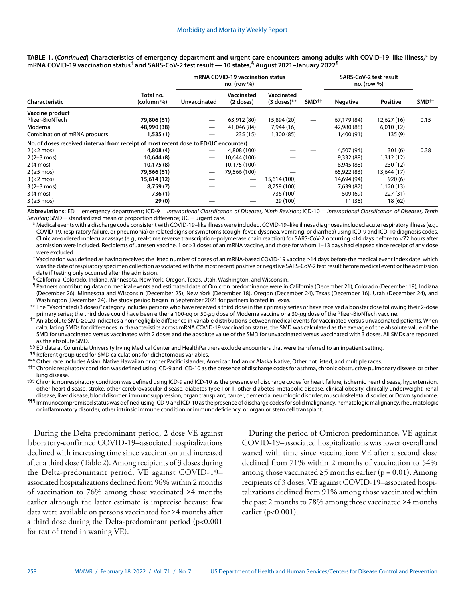|                                                                                      |                         | mRNA COVID-19 vaccination status<br>$no.$ (row $%$ ) |                         |                             |                   | <b>SARS-CoV-2 test result</b><br>$no.$ (row $%$ ) |                 |                   |
|--------------------------------------------------------------------------------------|-------------------------|------------------------------------------------------|-------------------------|-----------------------------|-------------------|---------------------------------------------------|-----------------|-------------------|
| <b>Characteristic</b>                                                                | Total no.<br>(column %) | Unvaccinated                                         | Vaccinated<br>(2 doses) | Vaccinated<br>$(3$ doses)** | SMD <sup>†</sup>  | <b>Negative</b>                                   | <b>Positive</b> | SMD <sup>++</sup> |
| Vaccine product                                                                      |                         |                                                      |                         |                             |                   |                                                   |                 |                   |
| Pfizer-BioNTech                                                                      | 79,806 (61)             | $\hspace{0.05cm}$                                    | 63,912 (80)             | 15,894 (20)                 | $\hspace{0.05cm}$ | 67,179 (84)                                       | 12,627 (16)     | 0.15              |
| Moderna                                                                              | 48,990 (38)             | $\overline{\phantom{m}}$                             | 41,046 (84)             | 7,944 (16)                  |                   | 42,980 (88)                                       | 6,010(12)       |                   |
| Combination of mRNA products                                                         | 1,535(1)                |                                                      | 235(15)                 | 1,300 (85)                  |                   | 1,400 (91)                                        | 135(9)          |                   |
| No. of doses received (interval from receipt of most recent dose to ED/UC encounter) |                         |                                                      |                         |                             |                   |                                                   |                 |                   |
| $2 (< 2$ mos)                                                                        | 4,808 (4)               |                                                      | 4,808 (100)             |                             |                   | 4,507 (94)                                        | 301(6)          | 0.38              |
| $2(2-3 \text{ mos})$                                                                 | 10,644 (8)              | --                                                   | 10,644 (100)            |                             |                   | 9,332 (88)                                        | 1,312(12)       |                   |
| 2 (4 mos)                                                                            | 10,175 (8)              |                                                      | 10,175 (100)            |                             |                   | 8,945 (88)                                        | 1,230(12)       |                   |
| $2$ ( $\geq$ 5 mos)                                                                  | 79,566 (61)             |                                                      | 79,566 (100)            |                             |                   | 65,922 (83)                                       | 13,644 (17)     |                   |
| $3 (< 2$ mos)                                                                        | 15,614 (12)             |                                                      | $\hspace{0.05cm}$       | 15,614 (100)                |                   | 14,694 (94)                                       | 920(6)          |                   |
| $3(2-3 \text{ mos})$                                                                 | 8,759(7)                |                                                      | $\hspace{0.05cm}$       | 8,759 (100)                 |                   | 7,639 (87)                                        | 1,120(13)       |                   |
| 3 (4 mos)                                                                            | 736(1)                  |                                                      |                         | 736 (100)                   |                   | 509 (69)                                          | 227 (31)        |                   |
| $3$ ( $\geq$ 5 mos)                                                                  | 29(0)                   |                                                      |                         | 29 (100)                    |                   | 11(38)                                            | 18(62)          |                   |

**TABLE 1. (***Continued***) Characteristics of emergency department and urgent care encounters among adults with COVID-19–like illness,\* by mRNA COVID-19 vaccination status† and SARS-CoV-2 test result — 10 states,§ August 2021–January 2022¶**

**Abbreviations:** ED = emergency department; ICD-9 = *International Classification of Diseases, Ninth Revision*; ICD-10 = *International Classification of Diseases, Tenth Revision;* SMD = standardized mean or proportion difference; UC = urgent care.

\* Medical events with a discharge code consistent with COVID-19–like illness were included. COVID-19–like illness diagnoses included acute respiratory illness (e.g., COVID-19, respiratory failure, or pneumonia) or related signs or symptoms (cough, fever, dyspnea, vomiting, or diarrhea) using ICD-9 and ICD-10 diagnosis codes. Clinician-ordered molecular assays (e.g., real-time reverse transcription–polymerase chain reaction) for SARS-CoV-2 occurring ≤14 days before to <72 hours after admission were included. Recipients of Janssen vaccine, 1 or >3 doses of an mRNA vaccine, and those for whom 1-13 days had elapsed since receipt of any dose were excluded.

† Vaccination was defined as having received the listed number of doses of an mRNA-based COVID-19 vaccine ≥14 days before the medical event index date, which was the date of respiratory specimen collection associated with the most recent positive or negative SARS-CoV-2 test result before medical event or the admission date if testing only occurred after the admission.

§ California, Colorado, Indiana, Minnesota, New York, Oregon, Texas, Utah, Washington, and Wisconsin.

¶ Partners contributing data on medical events and estimated date of Omicron predominance were in California (December 21), Colorado (December 19), Indiana (December 26), Minnesota and Wisconsin (December 25), New York (December 18), Oregon (December 24), Texas (December 16), Utah (December 24), and Washington (December 24). The study period began in September 2021 for partners located in Texas.

\*\* The "Vaccinated (3 doses)" category includes persons who have received a third dose in their primary series or have received a booster dose following their 2-dose primary series; the third dose could have been either a 100-*µ*g or 50-*µ*g dose of Moderna vaccine or a 30-*µ*g dose of the Pfizer-BioNTech vaccine.

†† An absolute SMD ≥0.20 indicates a nonnegligible difference in variable distributions between medical events for vaccinated versus unvaccinated patients. When calculating SMDs for differences in characteristics across mRNA COVID-19 vaccination status, the SMD was calculated as the average of the absolute value of the SMD for unvaccinated versus vaccinated with 2 doses and the absolute value of the SMD for unvaccinated versus vaccinated with 3 doses. All SMDs are reported as the absolute SMD.

§§ ED data at Columbia University Irving Medical Center and HealthPartners exclude encounters that were transferred to an inpatient setting.

¶¶ Referent group used for SMD calculations for dichotomous variables.

\*\*\* Other race includes Asian, Native Hawaiian or other Pacific islander, American Indian or Alaska Native, Other not listed, and multiple races.

††† Chronic respiratory condition was defined using ICD-9 and ICD-10 as the presence of discharge codes for asthma, chronic obstructive pulmonary disease, or other lung disease.

§§§ Chronic nonrespiratory condition was defined using ICD-9 and ICD-10 as the presence of discharge codes for heart failure, ischemic heart disease, hypertension, other heart disease, stroke, other cerebrovascular disease, diabetes type I or II, other diabetes, metabolic disease, clinical obesity, clinically underweight, renal disease, liver disease, blood disorder, immunosuppression, organ transplant, cancer, dementia, neurologic disorder, musculoskeletal disorder, or Down syndrome.

¶¶¶ Immunocompromised status was defined using ICD-9 and ICD-10 as the presence of discharge codes for solid malignancy, hematologic malignancy, rheumatologic or inflammatory disorder, other intrinsic immune condition or immunodeficiency, or organ or stem cell transplant.

During the Delta-predominant period, 2-dose VE against laboratory-confirmed COVID-19–associated hospitalizations declined with increasing time since vaccination and increased after a third dose (Table 2). Among recipients of 3 doses during the Delta-predominant period, VE against COVID-19– associated hospitalizations declined from 96% within 2 months of vaccination to 76% among those vaccinated ≥4 months earlier although the latter estimate is imprecise because few data were available on persons vaccinated for ≥4 months after a third dose during the Delta-predominant period (p<0.001 for test of trend in waning VE).

During the period of Omicron predominance, VE against COVID-19–associated hospitalizations was lower overall and waned with time since vaccination: VE after a second dose declined from 71% within 2 months of vaccination to 54% among those vaccinated  $\geq 5$  months earlier (p = 0.01). Among recipients of 3 doses, VE against COVID-19–associated hospitalizations declined from 91% among those vaccinated within the past 2 months to 78% among those vaccinated ≥4 months earlier (p<0.001).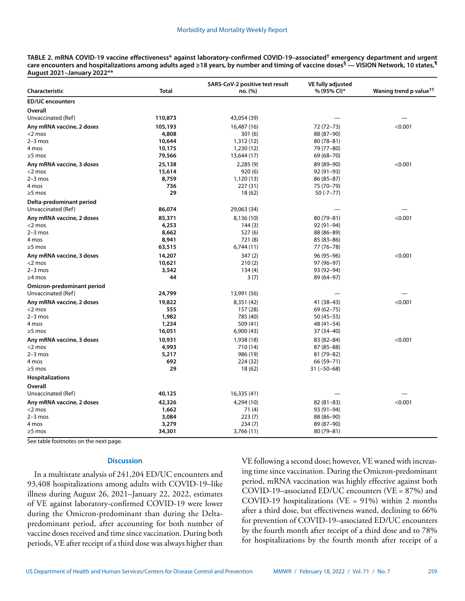**TABLE 2. mRNA COVID-19 vaccine effectiveness\* against laboratory-confirmed COVID-19–associated† emergency department and urgent care encounters and hospitalizations among adults aged ≥18 years, by number and timing of vaccine doses§ — VISION Network, 10 states,¶ August 2021–January 2022\*\***

| Characteristic             | Total   | SARS-CoV-2 positive test result<br>no. (%) | VE fully adjusted<br>% (95% CI)* | Waning trend p value <sup>††</sup> |  |
|----------------------------|---------|--------------------------------------------|----------------------------------|------------------------------------|--|
| <b>ED/UC encounters</b>    |         |                                            |                                  |                                    |  |
| Overall                    |         |                                            |                                  |                                    |  |
| Unvaccinated (Ref)         | 110,873 | 43,054 (39)                                |                                  |                                    |  |
| Any mRNA vaccine, 2 doses  | 105,193 | 16,487 (16)                                | 72 (72-73)                       | < 0.001                            |  |
| $<$ 2 mos                  | 4,808   | 301(6)                                     | 88 (87-90)                       |                                    |  |
| $2-3$ mos                  | 10,644  | 1,312 (12)                                 | $80(78 - 81)$                    |                                    |  |
| 4 mos                      | 10,175  | 1,230 (12)                                 | 79 (77-80)                       |                                    |  |
| $\geq$ 5 mos               | 79,566  | 13,644 (17)                                | 69 (68 - 70)                     |                                    |  |
| Any mRNA vaccine, 3 doses  | 25,138  | 2,285(9)                                   | 89 (89-90)                       | < 0.001                            |  |
| $<$ 2 mos                  | 15,614  | 920(6)                                     | 92 (91-93)                       |                                    |  |
| $2-3$ mos                  | 8,759   | 1,120 (13)                                 | $86(85 - 87)$                    |                                    |  |
| 4 mos                      | 736     | 227 (31)                                   | 75 (70-79)                       |                                    |  |
| $\geq$ 5 mos               | 29      | 18(62)                                     | $50(-7-77)$                      |                                    |  |
| Delta-predominant period   |         |                                            |                                  |                                    |  |
| Unvaccinated (Ref)         | 86,074  | 29,063 (34)                                |                                  |                                    |  |
| Any mRNA vaccine, 2 doses  | 85,371  | 8,136 (10)                                 | 80 (79-81)                       | < 0.001                            |  |
| $<$ 2 mos                  | 4,253   | 144(3)                                     | 92 (91-94)                       |                                    |  |
| $2-3$ mos                  | 8,662   | 527 (6)                                    | 88 (86-89)                       |                                    |  |
| 4 mos                      | 8,941   | 721 (8)                                    | 85 (83-86)                       |                                    |  |
| $\geq$ 5 mos               | 63,515  | 6,744(11)                                  | 77 (76-78)                       |                                    |  |
| Any mRNA vaccine, 3 doses  | 14,207  | 347 (2)                                    | 96 (95 - 96)                     | < 0.001                            |  |
| $<$ 2 mos                  | 10,621  | 210(2)                                     | 97 (96-97)                       |                                    |  |
| $2-3$ mos                  | 3,542   | 134(4)                                     | 93 (92-94)                       |                                    |  |
| $\geq$ 4 mos               | 44      | 3(7)                                       | 89 (64-97)                       |                                    |  |
| Omicron-predominant period |         |                                            |                                  |                                    |  |
| Unvaccinated (Ref)         | 24,799  | 13,991 (56)                                |                                  |                                    |  |
| Any mRNA vaccine, 2 doses  | 19,822  | 8,351 (42)                                 | $41(38-43)$                      | < 0.001                            |  |
| $<$ 2 mos                  | 555     | 157 (28)                                   | $69(62 - 75)$                    |                                    |  |
| $2-3$ mos                  | 1,982   | 785 (40)                                   | $50(45-55)$                      |                                    |  |
| 4 mos                      | 1,234   | 509 (41)                                   | $48(41-54)$                      |                                    |  |
| $\geq$ 5 mos               | 16,051  | 6,900 (43)                                 | 37 (34-40)                       |                                    |  |
| Any mRNA vaccine, 3 doses  | 10,931  | 1,938 (18)                                 | 83 (82-84)                       | < 0.001                            |  |
| $<$ 2 mos                  | 4,993   | 710 (14)                                   | $87(85 - 88)$                    |                                    |  |
| $2-3$ mos                  | 5,217   | 986 (19)                                   | 81 (79-82)                       |                                    |  |
| 4 mos                      | 692     | 224 (32)                                   | 66 (59-71)                       |                                    |  |
| $\geq$ 5 mos               | 29      | 18(62)                                     | $31 (-50 - 68)$                  |                                    |  |
| Hospitalizations           |         |                                            |                                  |                                    |  |
| Overall                    |         |                                            |                                  |                                    |  |
| Unvaccinated (Ref)         | 40,125  | 16,335 (41)                                |                                  |                                    |  |
| Any mRNA vaccine, 2 doses  | 42,326  | 4,294 (10)                                 | $82(81-83)$                      | < 0.001                            |  |
| $<$ 2 mos                  | 1,662   | 71 (4)                                     | 93 (91-94)                       |                                    |  |
| $2-3$ mos                  | 3,084   | 223(7)                                     | 88 (86-90)                       |                                    |  |
| 4 mos                      | 3,279   | 234(7)                                     | 89 (87-90)                       |                                    |  |
| $\geq$ 5 mos               | 34,301  | 3,766 (11)                                 | 80 (79-81)                       |                                    |  |

See table footnotes on the next page.

## **Discussion**

In a multistate analysis of 241,204 ED/UC encounters and 93,408 hospitalizations among adults with COVID-19–like illness during August 26, 2021–January 22, 2022, estimates of VE against laboratory-confirmed COVID-19 were lower during the Omicron-predominant than during the Deltapredominant period, after accounting for both number of vaccine doses received and time since vaccination. During both periods, VE after receipt of a third dose was always higher than VE following a second dose; however, VE waned with increasing time since vaccination. During the Omicron-predominant period, mRNA vaccination was highly effective against both COVID-19–associated ED/UC encounters (VE = 87%) and COVID-19 hospitalizations (VE = 91%) within 2 months after a third dose, but effectiveness waned, declining to 66% for prevention of COVID-19–associated ED/UC encounters by the fourth month after receipt of a third dose and to 78% for hospitalizations by the fourth month after receipt of a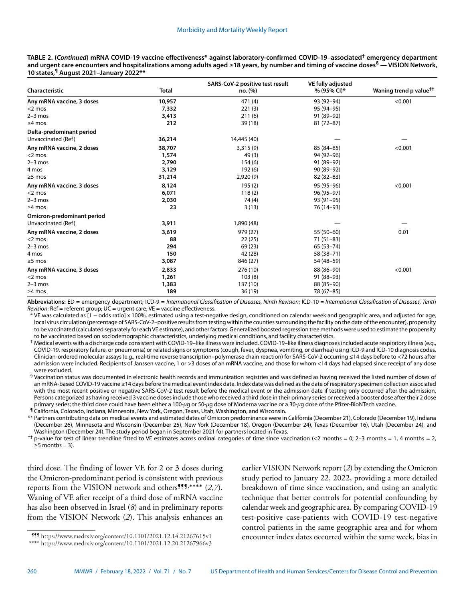**TABLE 2. (***Continued***) mRNA COVID-19 vaccine effectiveness\* against laboratory-confirmed COVID-19–associated† emergency department and urgent care encounters and hospitalizations among adults aged ≥18 years, by number and timing of vaccine doses§ — VISION Network, 10 states,¶ August 2021–January 2022\*\***

| Characteristic             | <b>Total</b> | SARS-CoV-2 positive test result<br>no. (%) | VE fully adjusted<br>% (95% CI)* | Waning trend p value <sup>††</sup> |
|----------------------------|--------------|--------------------------------------------|----------------------------------|------------------------------------|
| Any mRNA vaccine, 3 doses  | 10,957       | 471 (4)                                    | 93 (92-94)                       | < 0.001                            |
| $<$ 2 mos                  | 7,332        | 221(3)                                     | 95 (94-95)                       |                                    |
| $2-3$ mos                  | 3,413        | 211(6)                                     | 91 (89-92)                       |                                    |
| $\geq$ 4 mos               | 212          | 39(18)                                     | $81(72 - 87)$                    |                                    |
| Delta-predominant period   |              |                                            |                                  |                                    |
| Unvaccinated (Ref)         | 36,214       | 14,445 (40)                                |                                  |                                    |
| Any mRNA vaccine, 2 doses  | 38,707       | 3,315(9)                                   | 85 (84-85)                       | < 0.001                            |
| $<$ 2 mos                  | 1,574        | 49 (3)                                     | 94 (92-96)                       |                                    |
| $2-3$ mos                  | 2,790        | 154(6)                                     | 91 (89-92)                       |                                    |
| 4 mos                      | 3,129        | 192 (6)                                    | 90 (89-92)                       |                                    |
| $\geq$ 5 mos               | 31,214       | 2,920(9)                                   | $82(82-83)$                      |                                    |
| Any mRNA vaccine, 3 doses  | 8,124        | 195(2)                                     | 95 (95-96)                       | < 0.001                            |
| $<$ 2 mos                  | 6,071        | 118(2)                                     | 96 (95-97)                       |                                    |
| $2-3$ mos                  | 2,030        | 74 (4)                                     | 93 (91-95)                       |                                    |
| $\geq$ 4 mos               | 23           | 3(13)                                      | 76 (14-93)                       |                                    |
| Omicron-predominant period |              |                                            |                                  |                                    |
| Unvaccinated (Ref)         | 3,911        | 1,890 (48)                                 |                                  |                                    |
| Any mRNA vaccine, 2 doses  | 3,619        | 979 (27)                                   | 55 (50-60)                       | 0.01                               |
| $<$ 2 mos                  | 88           | 22(25)                                     | $71(51-83)$                      |                                    |
| $2-3$ mos                  | 294          | 69 (23)                                    | $65(53 - 74)$                    |                                    |
| 4 mos                      | 150          | 42 (28)                                    | 58 (38-71)                       |                                    |
| $\geq$ 5 mos               | 3,087        | 846 (27)                                   | 54 (48-59)                       |                                    |
| Any mRNA vaccine, 3 doses  | 2,833        | 276 (10)                                   | 88 (86-90)                       | < 0.001                            |
| $<$ 2 mos                  | 1,261        | 103(8)                                     | $91(88-93)$                      |                                    |
| $2-3$ mos                  | 1,383        | 137 (10)                                   | 88 (85-90)                       |                                    |
| $\geq$ 4 mos               | 189          | 36(19)                                     | 78 (67-85)                       |                                    |

**Abbreviations:** ED = emergency department; ICD-9 = *International Classification of Diseases, Ninth Revision*; ICD-10 *= International Classification of Diseases, Tenth Revision*; Ref = referent group; UC = urgent care; VE = vaccine effectiveness.

\* VE was calculated as [1 − odds ratio] x 100%, estimated using a test-negative design, conditioned on calendar week and geographic area, and adjusted for age, local virus circulation (percentage of SARS-CoV-2–positive results from testing within the counties surrounding the facility on the date of the encounter), propensity to be vaccinated (calculated separately for each VE estimate), and other factors. Generalized boosted regression tree methods were used to estimate the propensity to be vaccinated based on sociodemographic characteristics, underlying medical conditions, and facility characteristics.

† Medical events with a discharge code consistent with COVID-19–like illness were included. COVID-19–like illness diagnoses included acute respiratory illness (e.g., COVID-19, respiratory failure, or pneumonia) or related signs or symptoms (cough, fever, dyspnea, vomiting, or diarrhea) using ICD-9 and ICD-10 diagnosis codes. Clinician-ordered molecular assays (e.g., real-time reverse transcription–polymerase chain reaction) for SARS-CoV-2 occurring ≤14 days before to <72 hours after admission were included. Recipients of Janssen vaccine, 1 or >3 doses of an mRNA vaccine, and those for whom <14 days had elapsed since receipt of any dose were excluded.

§ Vaccination status was documented in electronic health records and immunization registries and was defined as having received the listed number of doses of an mRNA-based COVID-19 vaccine ≥14 days before the medical event index date. Index date was defined as the date of respiratory specimen collection associated with the most recent positive or negative SARS-CoV-2 test result before the medical event or the admission date if testing only occurred after the admission. Persons categorized as having received 3 vaccine doses include those who received a third dose in their primary series or received a booster dose after their 2 dose primary series; the third dose could have been either a 100-*µ*g or 50-*µ*g dose of Moderna vaccine or a 30-*µ*g dose of the Pfizer-BioNTech vaccine.

¶ California, Colorado, Indiana, Minnesota, New York, Oregon, Texas, Utah, Washington, and Wisconsin.

\*\* Partners contributing data on medical events and estimated dates of Omicron predominance were in California (December 21), Colorado (December 19), Indiana (December 26), Minnesota and Wisconsin (December 25), New York (December 18), Oregon (December 24), Texas (December 16), Utah (December 24), and Washington (December 24). The study period began in September 2021 for partners located in Texas.

†† p-value for test of linear trendline fitted to VE estimates across ordinal categories of time since vaccination (<2 months = 0; 2–3 months = 1, 4 months = 2,  $\geq$ 5 months = 3).

third dose. The finding of lower VE for 2 or 3 doses during the Omicron-predominant period is consistent with previous reports from the VISION network and others<sup>999</sup>,\*\*\*\* (2,7). Waning of VE after receipt of a third dose of mRNA vaccine has also been observed in Israel (*8*) and in preliminary reports from the VISION Network (*2*). This analysis enhances an

\*\*\*\* <https://www.medrxiv.org/content/10.1101/2021.12.20.21267966v3>

earlier VISION Network report (*2*) by extending the Omicron study period to January 22, 2022, providing a more detailed breakdown of time since vaccination, and using an analytic technique that better controls for potential confounding by calendar week and geographic area. By comparing COVID-19 test-positive case-patients with COVID-19 test-negative control patients in the same geographic area and for whom f11 https://www.medrxiv.org/content/10.1101/2021.12.14.21267615v1 encounter index dates occurred within the same week, bias in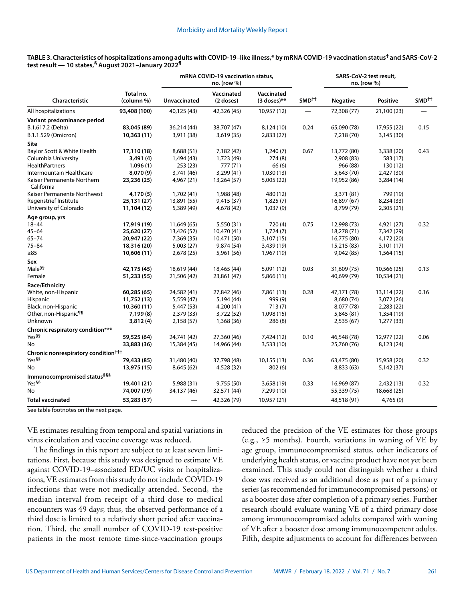|                                                 |                         |              | mRNA COVID-19 vaccination status,<br>no. (row %) |                             |                   | SARS-CoV-2 test result,<br>no. (row %) |                 |                   |
|-------------------------------------------------|-------------------------|--------------|--------------------------------------------------|-----------------------------|-------------------|----------------------------------------|-----------------|-------------------|
| Characteristic                                  | Total no.<br>(column %) | Unvaccinated | Vaccinated<br>(2 doses)                          | Vaccinated<br>$(3$ doses)** | SMD <sup>++</sup> | <b>Negative</b>                        | <b>Positive</b> | SMD <sup>++</sup> |
| All hospitalizations                            | 93,408 (100)            | 40,125 (43)  | 42,326 (45)                                      | 10,957 (12)                 |                   | 72,308 (77)                            | 21,100 (23)     |                   |
| Variant predominance period                     |                         |              |                                                  |                             |                   |                                        |                 |                   |
| B.1.617.2 (Delta)                               | 83,045 (89)             | 36,214 (44)  | 38,707 (47)                                      | 8,124 (10)                  | 0.24              | 65,090 (78)                            | 17,955 (22)     | 0.15              |
| B.1.1.529 (Omicron)                             | 10,363 (11)             | 3,911 (38)   | 3,619(35)                                        | 2,833(27)                   |                   | 7,218 (70)                             | 3,145 (30)      |                   |
| Site                                            |                         |              |                                                  |                             |                   |                                        |                 |                   |
| Baylor Scott & White Health                     | 17,110 (18)             | 8,688 (51)   | 7,182 (42)                                       | 1,240(7)                    | 0.67              | 13,772 (80)                            | 3,338 (20)      | 0.43              |
| Columbia University                             | 3,491 (4)               | 1,494 (43)   | 1,723 (49)                                       | 274(8)                      |                   | 2,908 (83)                             | 583 (17)        |                   |
| <b>HealthPartners</b>                           | 1,096(1)                | 253(23)      | 777 (71)                                         | 66(6)                       |                   | 966 (88)                               | 130 (12)        |                   |
| Intermountain Healthcare                        | 8,070 (9)               | 3,741 (46)   | 3,299 (41)                                       | 1,030(13)                   |                   | 5,643 (70)                             | 2,427 (30)      |                   |
| Kaiser Permanente Northern<br>California        | 23,236 (25)             | 4,967 (21)   | 13,264 (57)                                      | 5,005 (22)                  |                   | 19,952 (86)                            | 3,284 (14)      |                   |
| Kaiser Permanente Northwest                     | 4,170 (5)               | 1,702 (41)   | 1,988 (48)                                       | 480 (12)                    |                   | 3,371 (81)                             | 799 (19)        |                   |
| Regenstrief Institute                           | 25,131 (27)             | 13,891 (55)  | 9,415 (37)                                       | 1,825(7)                    |                   | 16,897 (67)                            | 8,234 (33)      |                   |
| University of Colorado                          | 11,104 (12)             | 5,389 (49)   | 4,678 (42)                                       | 1,037(9)                    |                   | 8,799 (79)                             | 2,305 (21)      |                   |
| Age group, yrs                                  |                         |              |                                                  |                             |                   |                                        |                 |                   |
| 18-44                                           | 17,919 (19)             | 11,649 (65)  | 5,550 (31)                                       | 720(4)                      | 0.75              | 12,998 (73)                            | 4,921 (27)      | 0.32              |
| 45–64                                           | 25,620 (27)             | 13,426 (52)  | 10,470 (41)                                      | 1,724(7)                    |                   | 18,278 (71)                            | 7,342 (29)      |                   |
| 65–74                                           | 20,947 (22)             | 7,369 (35)   | 10,471 (50)                                      | 3,107 (15)                  |                   | 16,775 (80)                            | 4,172 (20)      |                   |
| 75–84                                           | 18,316 (20)             | 5,003(27)    | 9,874 (54)                                       | 3,439 (19)                  |                   | 15,215 (83)                            | 3,101 (17)      |                   |
| ≥85                                             | 10,606 (11)             | 2,678 (25)   | 5,961 (56)                                       | 1,967 (19)                  |                   | 9,042(85)                              | 1,564(15)       |                   |
| Sex                                             |                         |              |                                                  |                             |                   |                                        |                 |                   |
| Male <sup>§§</sup>                              | 42,175 (45)             | 18,619 (44)  | 18,465 (44)                                      | 5,091 (12)                  | 0.03              | 31,609 (75)                            | 10,566 (25)     | 0.13              |
| Female                                          | 51,233 (55)             | 21,506 (42)  | 23,861 (47)                                      | 5,866 (11)                  |                   | 40,699 (79)                            | 10,534 (21)     |                   |
| Race/Ethnicity                                  |                         |              |                                                  |                             |                   |                                        |                 |                   |
| White, non-Hispanic                             | 60,285 (65)             | 24,582 (41)  | 27,842 (46)                                      | 7,861 (13)                  | 0.28              | 47,171 (78)                            | 13,114 (22)     | 0.16              |
| Hispanic                                        | 11,752 (13)             | 5,559 (47)   | 5,194 (44)                                       | 999(9)                      |                   | 8,680 (74)                             | 3,072 (26)      |                   |
| Black, non-Hispanic                             | 10,360 (11)             | 5,447 (53)   | 4,200 (41)                                       | 713(7)                      |                   | 8,077 (78)                             | 2,283 (22)      |                   |
| Other, non-Hispanic <sup>¶¶</sup>               | 7,199 (8)               | 2,379 (33)   | 3,722 (52)                                       | 1,098 (15)                  |                   | 5,845 (81)                             | 1,354 (19)      |                   |
| Unknown                                         | 3,812 (4)               | 2,158 (57)   | 1,368 (36)                                       | 286 (8)                     |                   | 2,535(67)                              | 1,277 (33)      |                   |
| Chronic respiratory condition***                |                         |              |                                                  |                             |                   |                                        |                 |                   |
| Yes <sup>§§</sup>                               | 59,525 (64)             | 24,741 (42)  | 27,360 (46)                                      | 7,424 (12)                  | 0.10              | 46,548 (78)                            | 12,977 (22)     | 0.06              |
| No                                              | 33,883 (36)             | 15,384 (45)  | 14,966 (44)                                      | 3,533(10)                   |                   | 25,760 (76)                            | 8,123 (24)      |                   |
| Chronic nonrespiratory condition <sup>†††</sup> |                         |              |                                                  |                             |                   |                                        |                 |                   |
| Yes <sup>§§</sup>                               | 79,433 (85)             | 31,480 (40)  | 37,798 (48)                                      | 10,155 (13)                 | 0.36              | 63,475 (80)                            | 15,958 (20)     | 0.32              |
| No                                              | 13,975 (15)             | 8,645 (62)   | 4,528 (32)                                       | 802(6)                      |                   | 8,833 (63)                             | 5,142 (37)      |                   |
| Immunocompromised status <sup>§§§</sup>         |                         |              |                                                  |                             |                   |                                        |                 |                   |
| Yes <sup>§§</sup>                               | 19,401 (21)             | 5,988 (31)   | 9,755 (50)                                       | 3,658(19)                   | 0.33              | 16,969 (87)                            | 2,432(13)       | 0.32              |
| No                                              | 74,007 (79)             | 34,137 (46)  | 32,571 (44)                                      | 7,299 (10)                  |                   | 55,339 (75)                            | 18,668 (25)     |                   |
| <b>Total vaccinated</b>                         | 53,283 (57)             |              | 42,326 (79)                                      | 10,957 (21)                 |                   | 48,518 (91)                            | 4,765(9)        |                   |

## **TABLE 3. Characteristics of hospitalizations among adults with COVID-19–like illness,\* by mRNA COVID-19 vaccination status† and SARS-CoV-2 test result — 10 states,§ August 2021–January 2022¶**

See table footnotes on the next page.

VE estimates resulting from temporal and spatial variations in virus circulation and vaccine coverage was reduced.

The findings in this report are subject to at least seven limitations. First, because this study was designed to estimate VE against COVID-19–associated ED/UC visits or hospitalizations, VE estimates from this study do not include COVID-19 infections that were not medically attended. Second, the median interval from receipt of a third dose to medical encounters was 49 days; thus, the observed performance of a third dose is limited to a relatively short period after vaccination. Third, the small number of COVID-19 test-positive patients in the most remote time-since-vaccination groups reduced the precision of the VE estimates for those groups (e.g., ≥5 months). Fourth, variations in waning of VE by age group, immunocompromised status, other indicators of underlying health status, or vaccine product have not yet been examined. This study could not distinguish whether a third dose was received as an additional dose as part of a primary series (as recommended for immunocompromised persons) or as a booster dose after completion of a primary series. Further research should evaluate waning VE of a third primary dose among immunocompromised adults compared with waning of VE after a booster dose among immunocompetent adults. Fifth, despite adjustments to account for differences between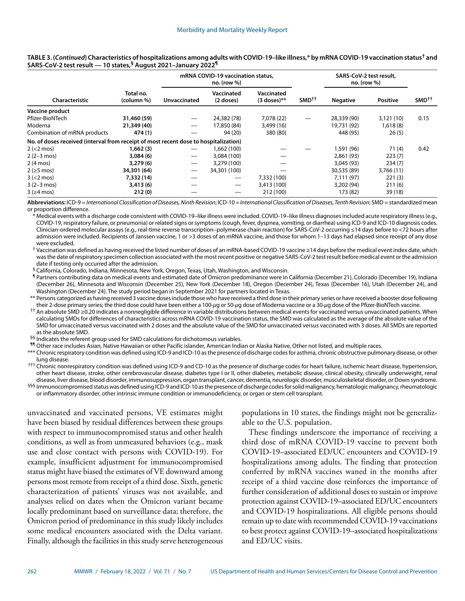|                                                                                      |                         | mRNA COVID-19 vaccination status.<br>$no.$ (row $%$ ) |                                 |                             |                   | SARS-CoV-2 test result.<br>$no.$ (row $%$ ) |                 |                   |
|--------------------------------------------------------------------------------------|-------------------------|-------------------------------------------------------|---------------------------------|-----------------------------|-------------------|---------------------------------------------|-----------------|-------------------|
| Characteristic                                                                       | Total no.<br>(column %) | Unvaccinated                                          | Vaccinated<br>(2 doses)         | Vaccinated<br>$(3$ doses)** | SMD <sup>++</sup> | <b>Negative</b>                             | <b>Positive</b> | SMD <sup>++</sup> |
| Vaccine product                                                                      |                         |                                                       |                                 |                             |                   |                                             |                 |                   |
| Pfizer-BioNTech                                                                      | 31,460 (59)             | $\overline{\phantom{m}}$                              | 24,382 (78)                     | 7.078 (22)                  |                   | 28,339 (90)                                 | 3,121(10)       | 0.15              |
| Moderna                                                                              | 21,349 (40)             | $\hspace{0.05cm}$                                     | 17,850 (84)                     | 3,499 (16)                  |                   | 19,731 (92)                                 | 1,618(8)        |                   |
| Combination of mRNA products                                                         | 474 (1)                 |                                                       | 94 (20)                         | 380 (80)                    |                   | 448 (95)                                    | 26(5)           |                   |
| No. of doses received (interval from receipt of most recent dose to hospitalization) |                         |                                                       |                                 |                             |                   |                                             |                 |                   |
| $2 (< 2$ mos)                                                                        | 1,662(3)                | $\overline{\phantom{m}}$                              | 1,662 (100)                     |                             |                   | 1,591 (96)                                  | 71(4)           | 0.42              |
| $2(2-3 \text{ mos})$                                                                 | 3,084(6)                | $\hspace{0.05cm}$                                     | 3,084 (100)                     |                             |                   | 2,861 (93)                                  | 223(7)          |                   |
| $2(4 \text{ mos})$                                                                   | 3.279(6)                | $\hspace{0.05cm}$                                     | 3,279 (100)                     |                             |                   | 3.045(93)                                   | 234(7)          |                   |
| $2$ ( $\geq$ 5 mos)                                                                  | 34,301 (64)             | $\hspace{0.05cm}$                                     | 34,301 (100)                    |                             |                   | 30,535 (89)                                 | 3,766(11)       |                   |
| $3 (< 2$ mos                                                                         | 7,332 (14)              | —                                                     | $\hspace{0.1mm}-\hspace{0.1mm}$ | 7,332 (100)                 |                   | 7.111(97)                                   | 221(3)          |                   |
| $3(2-3 \text{ mos})$                                                                 | 3,413(6)                |                                                       | $\hspace{0.05cm}$               | 3,413 (100)                 |                   | 3,202 (94)                                  | 211(6)          |                   |
| $3$ ( $\geq$ 4 mos)                                                                  | 212(0)                  |                                                       |                                 | 212 (100)                   |                   | 173 (82)                                    | 39(18)          |                   |

## **TABLE 3. (***Continued***) Characteristics of hospitalizations among adults with COVID-19–like illness,\* by mRNA COVID-19 vaccination status† and SARS-CoV-2 test result — 10 states,§ August 2021–January 2022¶**

**Abbreviations:** ICD-9 = *International Classification of Diseases, Ninth Revision*; ICD-10 *= International Classification of Diseases, Tenth Revision*; SMD= standardized mean or proportion difference.

\* Medical events with a discharge code consistent with COVID-19–like illness were included. COVID-19–like illness diagnoses included acute respiratory illness (e.g., COVID-19, respiratory failure, or pneumonia) or related signs or symptoms (cough, fever, dyspnea, vomiting, or diarrhea) using ICD-9 and ICD-10 diagnosis codes. Clinician-ordered molecular assays (e.g., real-time reverse transcription–polymerase chain reaction) for SARS-CoV-2 occurring ≤14 days before to <72 hours after admission were included. Recipients of Janssen vaccine, 1 or >3 doses of an mRNA vaccine, and those for whom 1–13 days had elapsed since receipt of any dose were excluded.

† Vaccination was defined as having received the listed number of doses of an mRNA-based COVID-19 vaccine ≥14 days before the medical event index date, which was the date of respiratory specimen collection associated with the most recent positive or negative SARS-CoV-2 test result before medical event or the admission date if testing only occurred after the admission.

§ California, Colorado, Indiana, Minnesota, New York, Oregon, Texas, Utah, Washington, and Wisconsin.

¶ Partners contributing data on medical events and estimated date of Omicron predominance were in California (December 21), Colorado (December 19), Indiana (December 26), Minnesota and Wisconsin (December 25), New York (December 18), Oregon (December 24), Texas (December 16), Utah (December 24), and Washington (December 24). The study period began in September 2021 for partners located in Texas.

\*\* Persons categorized as having received 3 vaccine doses include those who have received a third dose in their primary series or have received a booster dose following their 2-dose primary series; the third dose could have been either a 100-*µ*g or 50-*µ*g dose of Moderna vaccine or a 30-*µ*g dose of the Pfizer-BioNTech vaccine.

†† An absolute SMD ≥0.20 indicates a nonnegligible difference in variable distributions between medical events for vaccinated versus unvaccinated patients. When calculating SMDs for differences of characteristics across mRNA COVID-19 vaccination status, the SMD was calculated as the average of the absolute value of the SMD for unvaccinated versus vaccinated with 2 doses and the absolute value of the SMD for unvaccinated versus vaccinated with 3 doses. All SMDs are reported as the absolute SMD.

§§ Indicates the referent group used for SMD calculations for dichotomous variables.

¶¶ Other race includes Asian, Native Hawaiian or other Pacific islander, American Indian or Alaska Native, Other not listed, and multiple races.

\*\*\* Chronic respiratory condition was defined using ICD-9 and ICD-10 as the presence of discharge codes for asthma, chronic obstructive pulmonary disease, or other lung disease.

††† Chronic nonrespiratory condition was defined using ICD-9 and CD-10 as the presence of discharge codes for heart failure, ischemic heart disease, hypertension, other heart disease, stroke, other cerebrovascular disease, diabetes type I or II, other diabetes, metabolic disease, clinical obesity, clinically underweight, renal disease, liver disease, blood disorder, immunosuppression, organ transplant, cancer, dementia, neurologic disorder, musculoskeletal disorder, or Down syndrome.

<sup>§§§</sup> Immunocompromised status was defined using ICD-9 and ICD-10 as the presence of discharge codes for solid malignancy, hematologic malignancy, rheumatologic or inflammatory disorder, other intrinsic immune condition or immunodeficiency, or organ or stem cell transplant.

unvaccinated and vaccinated persons, VE estimates might have been biased by residual differences between these groups with respect to immunocompromised status and other health conditions, as well as from unmeasured behaviors (e.g., mask use and close contact with persons with COVID-19). For example, insufficient adjustment for immunocompromised status might have biased the estimates of VE downward among persons most remote from receipt of a third dose. Sixth, genetic characterization of patients' viruses was not available, and analyses relied on dates when the Omicron variant became locally predominant based on surveillance data; therefore, the Omicron period of predominance in this study likely includes some medical encounters associated with the Delta variant. Finally, although the facilities in this study serve heterogeneous

populations in 10 states, the findings might not be generalizable to the U.S. population.

These findings underscore the importance of receiving a third dose of mRNA COVID-19 vaccine to prevent both COVID-19–associated ED/UC encounters and COVID-19 hospitalizations among adults. The finding that protection conferred by mRNA vaccines waned in the months after receipt of a third vaccine dose reinforces the importance of further consideration of additional doses to sustain or improve protection against COVID-19–associated ED/UC encounters and COVID-19 hospitalizations. All eligible persons should remain up to date with recommended COVID-19 vaccinations to best protect against COVID-19–associated hospitalizations and ED/UC visits.